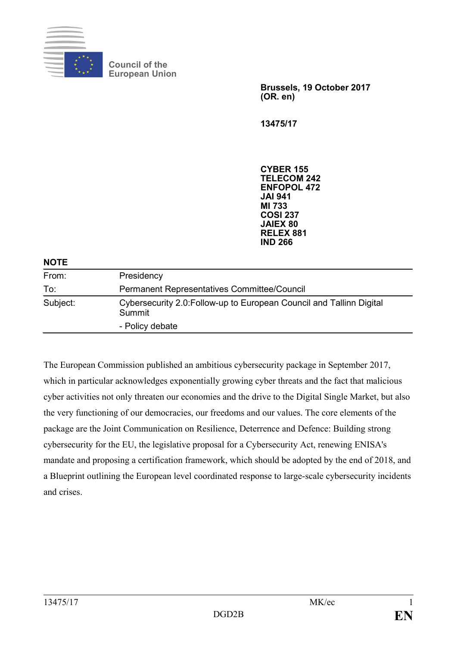

**Council of the European Union**

> **Brussels, 19 October 2017 (OR. en)**

**13475/17**

**CYBER 155 TELECOM 242 ENFOPOL 472 JAI 941 MI 733 COSI 237 JAIEX 80 RELEX 881 IND 266**

## **NOTE**

| From:    | Presidency                                                                     |
|----------|--------------------------------------------------------------------------------|
| To:      | <b>Permanent Representatives Committee/Council</b>                             |
| Subject: | Cybersecurity 2.0: Follow-up to European Council and Tallinn Digital<br>Summit |
|          | - Policy debate                                                                |

The European Commission published an ambitious cybersecurity package in September 2017, which in particular acknowledges exponentially growing cyber threats and the fact that malicious cyber activities not only threaten our economies and the drive to the Digital Single Market, but also the very functioning of our democracies, our freedoms and our values. The core elements of the package are the Joint Communication on Resilience, Deterrence and Defence: Building strong cybersecurity for the EU, the legislative proposal for a Cybersecurity Act, renewing ENISA's mandate and proposing a certification framework, which should be adopted by the end of 2018, and a Blueprint outlining the European level coordinated response to large-scale cybersecurity incidents and crises.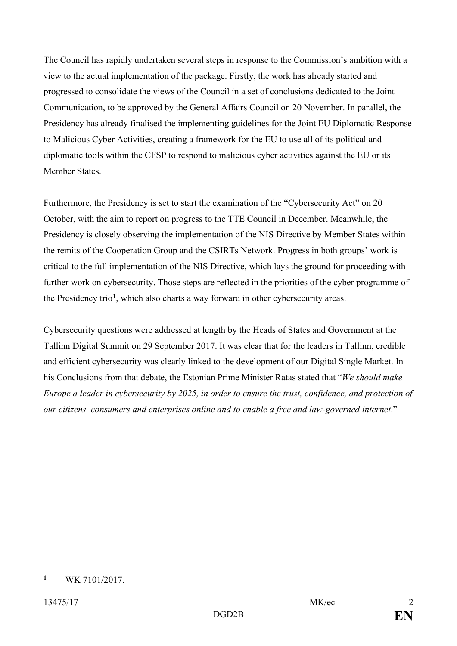The Council has rapidly undertaken several steps in response to the Commission's ambition with a view to the actual implementation of the package. Firstly, the work has already started and progressed to consolidate the views of the Council in a set of conclusions dedicated to the Joint Communication, to be approved by the General Affairs Council on 20 November. In parallel, the Presidency has already finalised the implementing guidelines for the Joint EU Diplomatic Response to Malicious Cyber Activities, creating a framework for the EU to use all of its political and diplomatic tools within the CFSP to respond to malicious cyber activities against the EU or its Member States.

Furthermore, the Presidency is set to start the examination of the "Cybersecurity Act" on 20 October, with the aim to report on progress to the TTE Council in December. Meanwhile, the Presidency is closely observing the implementation of the NIS Directive by Member States within the remits of the Cooperation Group and the CSIRTs Network. Progress in both groups' work is critical to the full implementation of the NIS Directive, which lays the ground for proceeding with further work on cybersecurity. Those steps are reflected in the priorities of the cyber programme of the Presidency trio**[1](#page-1-0)**, which also charts a way forward in other cybersecurity areas.

Cybersecurity questions were addressed at length by the Heads of States and Government at the Tallinn Digital Summit on 29 September 2017. It was clear that for the leaders in Tallinn, credible and efficient cybersecurity was clearly linked to the development of our Digital Single Market. In his Conclusions from that debate, the Estonian Prime Minister Ratas stated that "*We should make Europe a leader in cybersecurity by 2025, in order to ensure the trust, confidence, and protection of our citizens, consumers and enterprises online and to enable a free and law-governed internet*."

<span id="page-1-0"></span> $\mathbf{1}$ **<sup>1</sup>** WK 7101/2017.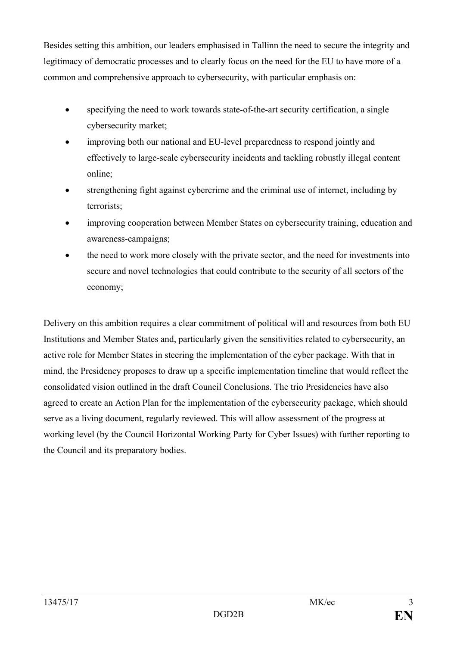Besides setting this ambition, our leaders emphasised in Tallinn the need to secure the integrity and legitimacy of democratic processes and to clearly focus on the need for the EU to have more of a common and comprehensive approach to cybersecurity, with particular emphasis on:

- specifying the need to work towards state-of-the-art security certification, a single cybersecurity market;
- improving both our national and EU-level preparedness to respond jointly and effectively to large-scale cybersecurity incidents and tackling robustly illegal content online;
- strengthening fight against cybercrime and the criminal use of internet, including by terrorists;
- improving cooperation between Member States on cybersecurity training, education and awareness-campaigns;
- the need to work more closely with the private sector, and the need for investments into secure and novel technologies that could contribute to the security of all sectors of the economy;

Delivery on this ambition requires a clear commitment of political will and resources from both EU Institutions and Member States and, particularly given the sensitivities related to cybersecurity, an active role for Member States in steering the implementation of the cyber package. With that in mind, the Presidency proposes to draw up a specific implementation timeline that would reflect the consolidated vision outlined in the draft Council Conclusions. The trio Presidencies have also agreed to create an Action Plan for the implementation of the cybersecurity package, which should serve as a living document, regularly reviewed. This will allow assessment of the progress at working level (by the Council Horizontal Working Party for Cyber Issues) with further reporting to the Council and its preparatory bodies.